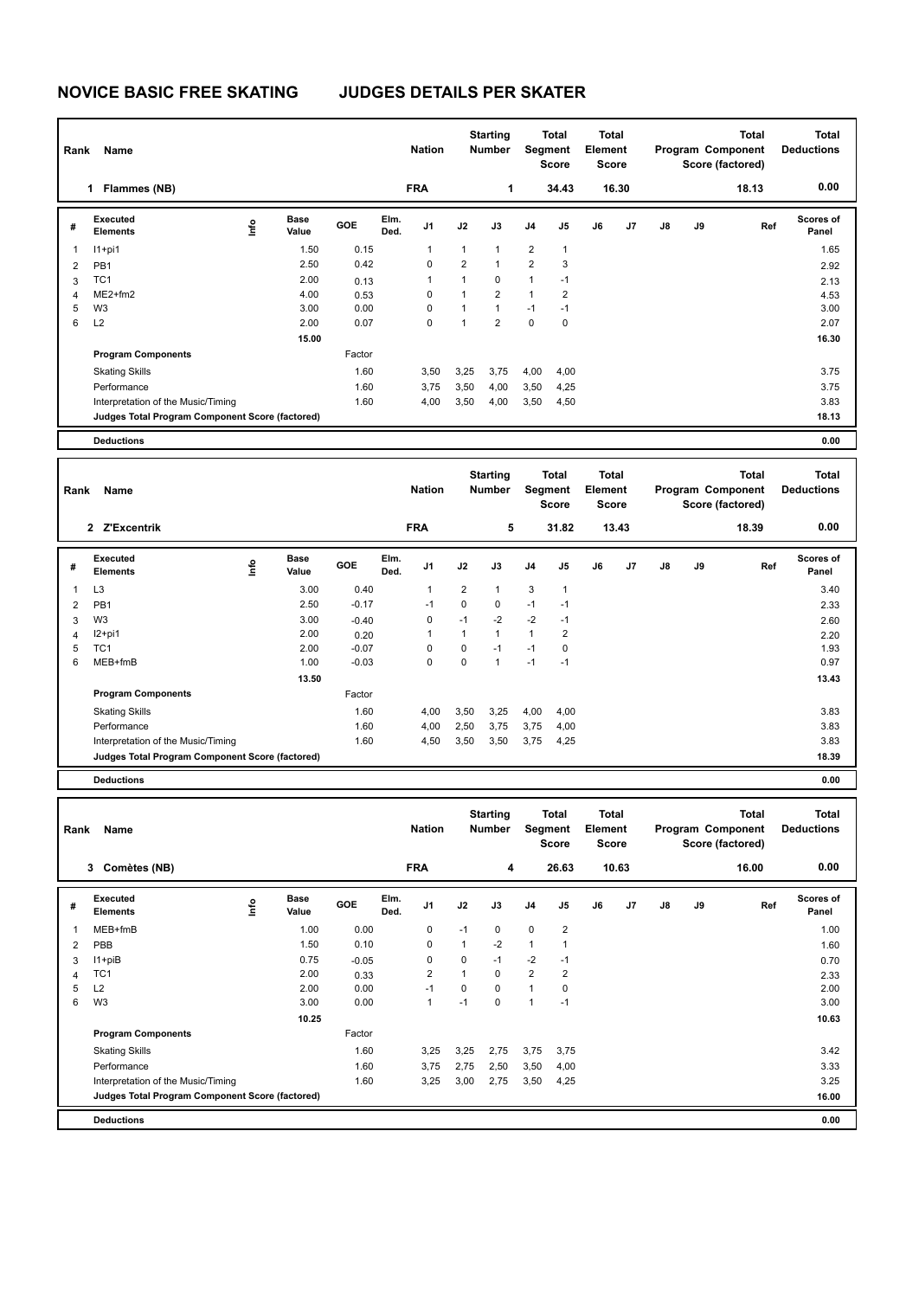## **NOVICE BASIC FREE SKATING JUDGES DETAILS PER SKATER**

| Rank                  | Name                                            |                          |                      |              |              | <b>Nation</b>           |                         | <b>Starting</b><br><b>Number</b> |                     | <b>Total</b><br>Segment<br>Score | Element | <b>Total</b><br><b>Score</b> |    |    | <b>Total</b><br>Program Component<br>Score (factored) | <b>Total</b><br><b>Deductions</b> |
|-----------------------|-------------------------------------------------|--------------------------|----------------------|--------------|--------------|-------------------------|-------------------------|----------------------------------|---------------------|----------------------------------|---------|------------------------------|----|----|-------------------------------------------------------|-----------------------------------|
|                       | 1 Flammes (NB)                                  |                          |                      |              |              | <b>FRA</b>              |                         | 1                                |                     | 34.43                            |         | 16.30                        |    |    | 18.13                                                 | 0.00                              |
| #                     | Executed<br><b>Elements</b>                     | ١nfo                     | <b>Base</b><br>Value | <b>GOE</b>   | Elm.<br>Ded. | J1                      | J2                      | J3                               | J <sub>4</sub>      | J5                               | J6      | J7                           | J8 | J9 | Ref                                                   | Scores of<br>Panel                |
| $\mathbf{1}$          | $11+pi1$                                        |                          | 1.50                 | 0.15         |              | 1                       | 1                       | $\mathbf{1}$                     | $\overline{2}$      | $\mathbf{1}$                     |         |                              |    |    |                                                       | 1.65                              |
| 2                     | PB1                                             |                          | 2.50                 | 0.42         |              | $\mathbf 0$             | $\overline{2}$          | $\mathbf{1}$                     | $\overline{2}$      | 3                                |         |                              |    |    |                                                       | 2.92                              |
| 3                     | TC <sub>1</sub>                                 |                          | 2.00                 | 0.13         |              | 1                       | $\mathbf{1}$            | 0                                | $\mathbf{1}$        | $-1$                             |         |                              |    |    |                                                       | 2.13                              |
| 4                     | ME2+fm2                                         |                          | 4.00                 | 0.53         |              | 0                       | $\mathbf{1}$            | $\overline{\mathbf{c}}$          | $\mathbf{1}$        | $\overline{2}$                   |         |                              |    |    |                                                       | 4.53                              |
| 5<br>6                | W <sub>3</sub><br>L2                            |                          | 3.00<br>2.00         | 0.00         |              | $\mathbf 0$<br>$\Omega$ | $\mathbf{1}$<br>1       | $\mathbf{1}$<br>$\overline{2}$   | $-1$<br>$\mathbf 0$ | $-1$<br>$\mathbf 0$              |         |                              |    |    |                                                       | 3.00                              |
|                       |                                                 |                          |                      | 0.07         |              |                         |                         |                                  |                     |                                  |         |                              |    |    |                                                       | 2.07                              |
|                       |                                                 |                          | 15.00                |              |              |                         |                         |                                  |                     |                                  |         |                              |    |    |                                                       | 16.30                             |
|                       | <b>Program Components</b>                       |                          |                      | Factor       |              |                         |                         |                                  |                     |                                  |         |                              |    |    |                                                       |                                   |
|                       | <b>Skating Skills</b>                           |                          |                      | 1.60         |              | 3,50                    | 3,25                    | 3,75                             | 4,00                | 4,00                             |         |                              |    |    |                                                       | 3.75                              |
|                       | Performance                                     |                          |                      | 1.60         |              | 3,75                    | 3,50                    | 4,00                             | 3,50                | 4,25                             |         |                              |    |    |                                                       | 3.75                              |
|                       | Interpretation of the Music/Timing              |                          |                      | 1.60         |              | 4,00                    | 3,50                    | 4,00                             | 3,50                | 4,50                             |         |                              |    |    |                                                       | 3.83                              |
|                       | Judges Total Program Component Score (factored) |                          |                      |              |              |                         |                         |                                  |                     |                                  |         |                              |    |    |                                                       | 18.13                             |
|                       | <b>Deductions</b>                               |                          |                      |              |              |                         |                         |                                  |                     |                                  |         |                              |    |    |                                                       | 0.00                              |
|                       |                                                 |                          |                      |              |              |                         |                         |                                  |                     |                                  |         |                              |    |    |                                                       |                                   |
|                       |                                                 |                          |                      |              |              |                         |                         | <b>Starting</b>                  |                     | <b>Total</b>                     |         | <b>Total</b>                 |    |    | <b>Total</b>                                          | <b>Total</b>                      |
| Rank                  | Name                                            |                          |                      |              |              | <b>Nation</b>           |                         | <b>Number</b>                    |                     | Segment<br>Score                 | Element | <b>Score</b>                 |    |    | Program Component<br>Score (factored)                 | <b>Deductions</b>                 |
|                       | 2 Z'Excentrik                                   |                          |                      |              |              | <b>FRA</b>              |                         | 5                                |                     | 31.82                            |         | 13.43                        |    |    | 18.39                                                 | 0.00                              |
|                       |                                                 |                          |                      |              |              |                         |                         |                                  |                     |                                  |         |                              |    |    |                                                       |                                   |
| #                     | Executed<br><b>Elements</b>                     | lnfo                     | <b>Base</b><br>Value | GOE          | Elm.<br>Ded. | J1                      | J2                      | J3                               | J4                  | J5                               | J6      | J7                           | J8 | J9 | Ref                                                   | <b>Scores of</b><br>Panel         |
| $\mathbf{1}$          | L <sub>3</sub>                                  |                          | 3.00                 | 0.40         |              | 1                       | $\overline{\mathbf{c}}$ | 1                                | 3                   | $\mathbf{1}$                     |         |                              |    |    |                                                       | 3.40                              |
| 2                     | PB1                                             |                          | 2.50                 | $-0.17$      |              | $-1$                    | $\mathbf 0$             | 0                                | $-1$                | $-1$                             |         |                              |    |    |                                                       | 2.33                              |
| 3                     | W <sub>3</sub>                                  |                          | 3.00                 | $-0.40$      |              | $\mathbf 0$             | $-1$                    | $-2$                             | $-2$                | $-1$                             |         |                              |    |    |                                                       | 2.60                              |
| 4                     | $12+pi1$                                        |                          | 2.00                 | 0.20         |              | 1                       | $\mathbf{1}$            | $\mathbf{1}$                     | $\mathbf{1}$        | $\overline{2}$                   |         |                              |    |    |                                                       | 2.20                              |
| 5                     | TC <sub>1</sub>                                 |                          | 2.00                 | $-0.07$      |              | $\mathbf 0$             | $\mathsf 0$             | $-1$                             | $-1$                | $\mathbf 0$                      |         |                              |    |    |                                                       | 1.93                              |
| 6                     | MEB+fmB                                         |                          | 1.00                 | $-0.03$      |              | $\Omega$                | $\mathbf 0$             | $\mathbf{1}$                     | $-1$                | $-1$                             |         |                              |    |    |                                                       | 0.97                              |
|                       |                                                 |                          | 13.50                |              |              |                         |                         |                                  |                     |                                  |         |                              |    |    |                                                       | 13.43                             |
|                       | <b>Program Components</b>                       |                          |                      | Factor       |              |                         |                         |                                  |                     |                                  |         |                              |    |    |                                                       |                                   |
|                       | <b>Skating Skills</b>                           |                          |                      | 1.60         |              | 4,00                    | 3,50                    | 3,25                             | 4,00                | 4,00                             |         |                              |    |    |                                                       | 3.83                              |
|                       | Performance                                     |                          |                      | 1.60         |              | 4,00                    | 2,50                    | 3,75                             | 3,75                | 4,00                             |         |                              |    |    |                                                       | 3.83                              |
|                       | Interpretation of the Music/Timing              |                          |                      | 1.60         |              | 4,50                    | 3,50                    | 3,50                             | 3,75                | 4,25                             |         |                              |    |    |                                                       | 3.83                              |
|                       | Judges Total Program Component Score (factored) |                          |                      |              |              |                         |                         |                                  |                     |                                  |         |                              |    |    |                                                       | 18.39                             |
|                       | <b>Deductions</b>                               |                          |                      |              |              |                         |                         |                                  |                     |                                  |         |                              |    |    |                                                       | 0.00                              |
|                       |                                                 |                          |                      |              |              |                         |                         |                                  |                     |                                  |         |                              |    |    |                                                       |                                   |
|                       |                                                 |                          |                      |              |              |                         |                         | <b>Starting</b>                  |                     | <b>Total</b>                     |         | Total                        |    |    | <b>Total</b>                                          | <b>Total</b>                      |
|                       | Rank Name                                       |                          |                      |              |              | <b>Nation</b>           |                         | <b>Number</b>                    |                     | Segment                          | Element |                              |    |    | Program Component                                     | <b>Deductions</b>                 |
|                       |                                                 |                          |                      |              |              |                         |                         |                                  |                     | Score                            |         | Score                        |    |    | Score (factored)                                      |                                   |
|                       | 3 Comètes (NB)                                  |                          |                      |              |              | <b>FRA</b>              |                         | 4                                |                     | 26.63                            |         | 10.63                        |    |    | 16.00                                                 | 0.00                              |
|                       | Executed                                        |                          | <b>Base</b>          |              | Elm.         |                         |                         |                                  |                     |                                  |         |                              |    |    |                                                       | Scores of                         |
| #                     | Elements                                        | $\mathop{\mathsf{Info}}$ | Value                | GOE          | Ded.         | J1                      | J2                      | J3                               | J4                  | J5                               | J6      | J7                           | J8 | J9 | Ref                                                   | Panel                             |
| 1<br>$\boldsymbol{2}$ | MEB+fmB<br>PBB                                  |                          | 1.00<br>1.50         | 0.00<br>0.10 |              | 0<br>0                  | $-1$<br>$\mathbf{1}$    | 0<br>$-2$                        | 0<br>$\mathbf{1}$   | 2<br>$\mathbf{1}$                |         |                              |    |    |                                                       | 1.00<br>1.60                      |

| 2 | <b>PBB</b>                                      | 1.50  | 0.10    | 0    |      | $-2$ |                |                | 1.60  |  |
|---|-------------------------------------------------|-------|---------|------|------|------|----------------|----------------|-------|--|
| 3 | $11 + piB$                                      | 0.75  | $-0.05$ | 0    | 0    | $-1$ | $-2$           | -1             | 0.70  |  |
| 4 | TC <sub>1</sub>                                 | 2.00  | 0.33    | 2    |      | 0    | $\overline{2}$ | $\overline{2}$ | 2.33  |  |
| 5 | L <sub>2</sub>                                  | 2.00  | 0.00    | -1   | 0    | 0    | 1              | 0              | 2.00  |  |
| 6 | W3                                              | 3.00  | 0.00    |      | -1   | 0    | 1              | -1             | 3.00  |  |
|   |                                                 | 10.25 |         |      |      |      |                |                | 10.63 |  |
|   | <b>Program Components</b>                       |       | Factor  |      |      |      |                |                |       |  |
|   | <b>Skating Skills</b>                           |       | 1.60    | 3,25 | 3,25 | 2,75 | 3,75           | 3,75           | 3.42  |  |
|   | Performance                                     |       | 1.60    | 3,75 | 2,75 | 2,50 | 3,50           | 4,00           | 3.33  |  |
|   | Interpretation of the Music/Timing              |       | 1.60    | 3,25 | 3,00 | 2,75 | 3,50           | 4,25           | 3.25  |  |
|   | Judges Total Program Component Score (factored) |       |         |      |      |      |                |                | 16.00 |  |
|   |                                                 |       |         |      |      |      |                |                |       |  |

**Deductions 0.00**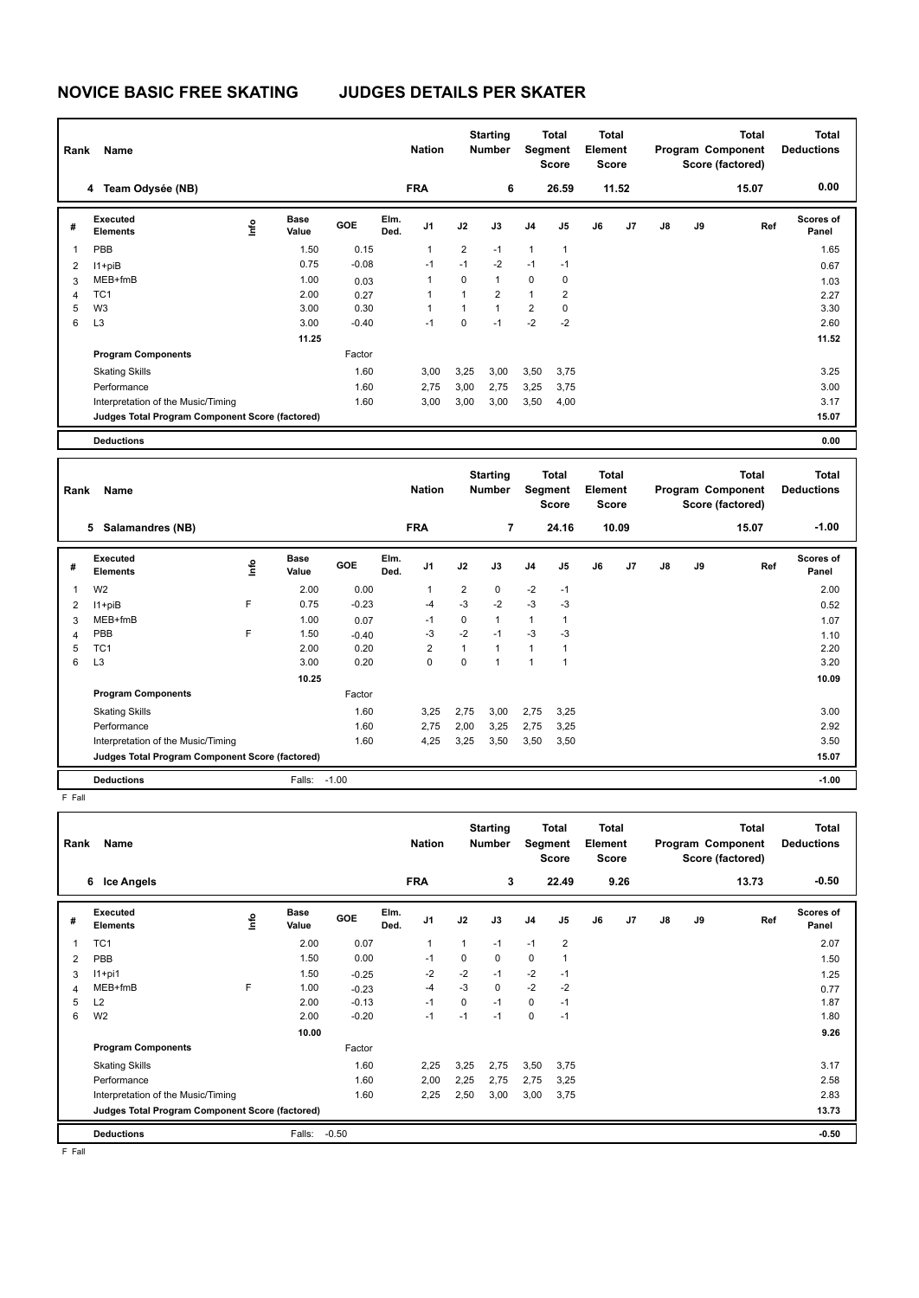## **NOVICE BASIC FREE SKATING JUDGES DETAILS PER SKATER**

| Rank           | Name                                            |      |                      |         |              | <b>Nation</b>           |                         | <b>Starting</b><br>Number |                         | <b>Total</b><br><b>Segment</b><br>Score | <b>Total</b><br>Element<br><b>Score</b> |       |                                       |    | <b>Total</b><br>Program Component<br>Score (factored) | <b>Total</b><br><b>Deductions</b> |
|----------------|-------------------------------------------------|------|----------------------|---------|--------------|-------------------------|-------------------------|---------------------------|-------------------------|-----------------------------------------|-----------------------------------------|-------|---------------------------------------|----|-------------------------------------------------------|-----------------------------------|
|                | 4 Team Odysée (NB)                              |      |                      |         |              | <b>FRA</b>              |                         | 6                         |                         | 26.59                                   |                                         | 11.52 |                                       |    | 15.07                                                 | 0.00                              |
| #              | Executed<br><b>Elements</b>                     | ١nfo | <b>Base</b><br>Value | GOE     | Elm.<br>Ded. | J1                      | J2                      | J3                        | J <sub>4</sub>          | J5                                      | J6                                      | J7    | J8                                    | J9 | Ref                                                   | Scores of<br>Panel                |
| $\mathbf{1}$   | PBB                                             |      | 1.50                 | 0.15    |              | 1                       | 2                       | $-1$                      | $\mathbf{1}$            | 1                                       |                                         |       |                                       |    |                                                       | 1.65                              |
| $\overline{2}$ | I1+piB                                          |      | 0.75                 | $-0.08$ |              | $-1$                    | $-1$                    | $-2$                      | $-1$                    | $-1$                                    |                                         |       |                                       |    |                                                       | 0.67                              |
| 3              | MEB+fmB                                         |      | 1.00                 | 0.03    |              | $\mathbf{1}$            | 0                       | $\mathbf{1}$              | 0                       | 0                                       |                                         |       |                                       |    |                                                       | 1.03                              |
| $\overline{4}$ | TC <sub>1</sub>                                 |      | 2.00                 | 0.27    |              | 1                       | $\mathbf{1}$            | $\overline{2}$            | $\mathbf{1}$            | $\overline{2}$                          |                                         |       |                                       |    |                                                       | 2.27                              |
| 5              | W <sub>3</sub>                                  |      | 3.00                 | 0.30    |              | $\mathbf{1}$            | 1                       | $\mathbf{1}$              | $\overline{2}$          | 0                                       |                                         |       |                                       |    |                                                       | 3.30                              |
| 6              | L <sub>3</sub>                                  |      | 3.00                 | $-0.40$ |              | $-1$                    | 0                       | $-1$                      | $-2$                    | $-2$                                    |                                         |       |                                       |    |                                                       | 2.60                              |
|                |                                                 |      | 11.25                |         |              |                         |                         |                           |                         |                                         |                                         |       |                                       |    |                                                       | 11.52                             |
|                | <b>Program Components</b>                       |      |                      | Factor  |              |                         |                         |                           |                         |                                         |                                         |       |                                       |    |                                                       |                                   |
|                | <b>Skating Skills</b>                           |      |                      | 1.60    |              | 3,00                    | 3,25                    | 3,00                      | 3,50                    | 3,75                                    |                                         |       |                                       |    |                                                       | 3.25                              |
|                | Performance                                     |      |                      | 1.60    |              | 2,75                    | 3,00                    | 2,75                      | 3,25                    | 3,75                                    |                                         |       |                                       |    |                                                       | 3.00                              |
|                | Interpretation of the Music/Timing              |      |                      | 1.60    |              | 3,00                    | 3,00                    | 3,00                      | 3,50                    | 4,00                                    |                                         |       |                                       |    |                                                       | 3.17                              |
|                | Judges Total Program Component Score (factored) |      |                      |         |              |                         |                         |                           |                         |                                         |                                         |       |                                       |    |                                                       | 15.07                             |
|                | <b>Deductions</b>                               |      |                      |         |              |                         |                         |                           |                         |                                         |                                         |       |                                       |    |                                                       | 0.00                              |
|                |                                                 |      |                      |         |              |                         |                         |                           |                         |                                         |                                         |       |                                       |    |                                                       |                                   |
|                |                                                 |      |                      |         |              |                         | <b>Starting</b>         |                           | <b>Total</b>            |                                         | <b>Total</b>                            |       |                                       |    | <b>Total</b>                                          | <b>Total</b>                      |
| Rank           | Name                                            |      |                      |         |              | <b>Nation</b>           | <b>Number</b>           |                           | Segment<br><b>Score</b> |                                         | Element<br><b>Score</b>                 |       | Program Component<br>Score (factored) |    |                                                       | <b>Deductions</b>                 |
|                | 5 Salamandres (NB)                              |      |                      |         |              | <b>FRA</b>              |                         | 7                         |                         | 24.16                                   |                                         | 10.09 |                                       |    | 15.07                                                 | $-1.00$                           |
| #              | Executed<br><b>Elements</b>                     | ١nf٥ | <b>Base</b><br>Value | GOE     | Elm.<br>Ded. | J1                      | J2                      | J3                        | J <sub>4</sub>          | J5                                      | J6                                      | J7    | $\mathsf{J}8$                         | J9 | Ref                                                   | Scores of<br>Panel                |
| $\mathbf{1}$   | W <sub>2</sub>                                  |      | 2.00                 | 0.00    |              | 1                       | $\overline{\mathbf{c}}$ | $\mathbf 0$               | $-2$                    | $-1$                                    |                                         |       |                                       |    |                                                       | 2.00                              |
| $\overline{2}$ | $11 + piB$                                      | F    | 0.75                 | $-0.23$ |              | $-4$                    | $-3$                    | $-2$                      | $-3$                    | $-3$                                    |                                         |       |                                       |    |                                                       | 0.52                              |
| 3              | MEB+fmB                                         |      | 1.00                 | 0.07    |              | $-1$                    | 0                       | $\mathbf{1}$              | $\mathbf{1}$            | 1                                       |                                         |       |                                       |    |                                                       | 1.07                              |
| $\overline{4}$ | PBB                                             | F    | 1.50                 | $-0.40$ |              | $-3$                    | $-2$                    | $-1$                      | $-3$                    | $-3$                                    |                                         |       |                                       |    |                                                       | 1.10                              |
| 5              | TC <sub>1</sub>                                 |      | 2.00                 | 0.20    |              | $\overline{\mathbf{c}}$ | 1                       | $\mathbf{1}$              | $\mathbf{1}$            | 1                                       |                                         |       |                                       |    |                                                       | 2.20                              |
| 6              | L <sub>3</sub>                                  |      | 3.00                 | 0.20    |              | 0                       | 0                       | $\mathbf{1}$              | $\mathbf{1}$            | 1                                       |                                         |       |                                       |    |                                                       | 3.20                              |
|                |                                                 |      | 10.25                |         |              |                         |                         |                           |                         |                                         |                                         |       |                                       |    |                                                       | 10.09                             |
|                | <b>Program Components</b>                       |      |                      | Factor  |              |                         |                         |                           |                         |                                         |                                         |       |                                       |    |                                                       |                                   |
|                | <b>Skating Skills</b>                           |      |                      | 1.60    |              | 3,25                    | 2,75                    | 3,00                      | 2,75                    | 3,25                                    |                                         |       |                                       |    |                                                       | 3.00                              |
|                | Performance                                     |      |                      | 1.60    |              | 2,75                    | 2,00                    | 3,25                      | 2,75                    | 3,25                                    |                                         |       |                                       |    |                                                       | 2.92                              |
|                | Interpretation of the Music/Timing              |      |                      | 1.60    |              | 4,25                    | 3,25                    | 3,50                      | 3,50                    | 3,50                                    |                                         |       |                                       |    |                                                       | 3.50                              |
|                | Judges Total Program Component Score (factored) |      |                      |         |              |                         |                         |                           |                         |                                         |                                         |       |                                       |    |                                                       | 15.07                             |

**Deductions** Falls: -1.00 **-1.00**

F Fall

| Rank           | Name                                            |      |                      |         |              | <b>Nation</b>  |      | <b>Starting</b><br><b>Number</b> | Segment        | Total<br><b>Score</b> | <b>Total</b><br>Element<br><b>Score</b> |      |    |    | <b>Total</b><br>Program Component<br>Score (factored) | <b>Total</b><br><b>Deductions</b> |
|----------------|-------------------------------------------------|------|----------------------|---------|--------------|----------------|------|----------------------------------|----------------|-----------------------|-----------------------------------------|------|----|----|-------------------------------------------------------|-----------------------------------|
|                | <b>Ice Angels</b><br>6                          |      |                      |         |              | <b>FRA</b>     |      | 3                                |                | 22.49                 |                                         | 9.26 |    |    | 13.73                                                 | $-0.50$                           |
| #              | Executed<br><b>Elements</b>                     | ١mfo | <b>Base</b><br>Value | GOE     | Elm.<br>Ded. | J <sub>1</sub> | J2   | J3                               | J <sub>4</sub> | J <sub>5</sub>        | J6                                      | J7   | J8 | J9 | Ref                                                   | <b>Scores of</b><br>Panel         |
|                | TC <sub>1</sub>                                 |      | 2.00                 | 0.07    |              | 1              | 1    | $-1$                             | $-1$           | 2                     |                                         |      |    |    |                                                       | 2.07                              |
| $\overline{2}$ | PBB                                             |      | 1.50                 | 0.00    |              | $-1$           | 0    | $\mathbf 0$                      | $\mathbf 0$    |                       |                                         |      |    |    |                                                       | 1.50                              |
| 3              | $11+pi1$                                        |      | 1.50                 | $-0.25$ |              | $-2$           | $-2$ | $-1$                             | $-2$           | $-1$                  |                                         |      |    |    |                                                       | 1.25                              |
| $\Delta$       | MEB+fmB                                         | F.   | 1.00                 | $-0.23$ |              | $-4$           | $-3$ | 0                                | $-2$           | $-2$                  |                                         |      |    |    |                                                       | 0.77                              |
| 5              | L2                                              |      | 2.00                 | $-0.13$ |              | $-1$           | 0    | $-1$                             | 0              | $-1$                  |                                         |      |    |    |                                                       | 1.87                              |
| 6              | W <sub>2</sub>                                  |      | 2.00                 | $-0.20$ |              | $-1$           | $-1$ | $-1$                             | 0              | $-1$                  |                                         |      |    |    |                                                       | 1.80                              |
|                |                                                 |      | 10.00                |         |              |                |      |                                  |                |                       |                                         |      |    |    |                                                       | 9.26                              |
|                | <b>Program Components</b>                       |      |                      | Factor  |              |                |      |                                  |                |                       |                                         |      |    |    |                                                       |                                   |
|                | <b>Skating Skills</b>                           |      |                      | 1.60    |              | 2,25           | 3,25 | 2,75                             | 3,50           | 3,75                  |                                         |      |    |    |                                                       | 3.17                              |
|                | Performance                                     |      |                      | 1.60    |              | 2,00           | 2,25 | 2,75                             | 2,75           | 3,25                  |                                         |      |    |    |                                                       | 2.58                              |
|                | Interpretation of the Music/Timing              |      |                      | 1.60    |              | 2,25           | 2,50 | 3,00                             | 3,00           | 3,75                  |                                         |      |    |    |                                                       | 2.83                              |
|                | Judges Total Program Component Score (factored) |      |                      |         |              |                |      |                                  |                |                       |                                         |      |    |    |                                                       | 13.73                             |
|                | <b>Deductions</b>                               |      | Falls:               | $-0.50$ |              |                |      |                                  |                |                       |                                         |      |    |    |                                                       | $-0.50$                           |